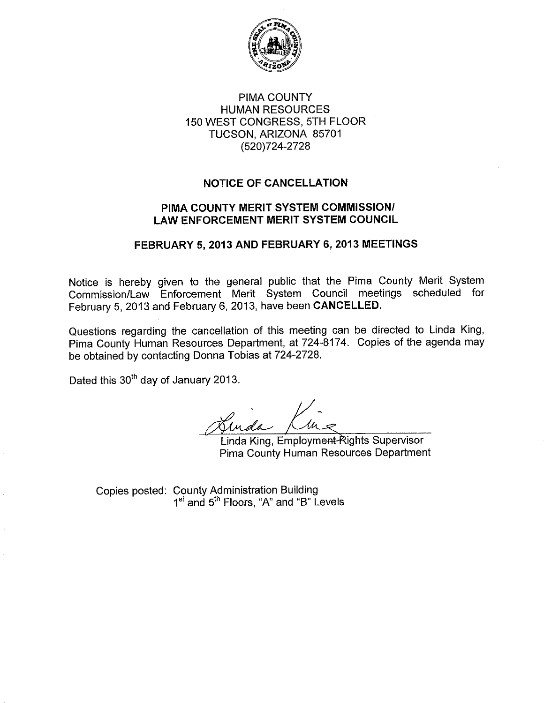

### PIMA COUNTY **HUMAN RESOURCES** 150 WEST CONGRESS, 5TH FLOOR TUCSON, ARIZONA 85701 (520)724-2728

## **NOTICE OF CANCELLATION**

### PIMA COUNTY MERIT SYSTEM COMMISSION/ **LAW ENFORCEMENT MERIT SYSTEM COUNCIL**

### FEBRUARY 5, 2013 AND FEBRUARY 6, 2013 MEETINGS

Notice is hereby given to the general public that the Pima County Merit System Commission/Law Enforcement Merit System Council meetings scheduled for February 5, 2013 and February 6, 2013, have been CANCELLED.

Questions regarding the cancellation of this meeting can be directed to Linda King, Pima County Human Resources Department, at 724-8174. Copies of the agenda may be obtained by contacting Donna Tobias at 724-2728.

Dated this 30<sup>th</sup> day of January 2013.

Luida Kine

Linda King, Employment Rights Supervisor Pima County Human Resources Department

Copies posted: County Administration Building<br>1<sup>st</sup> and 5<sup>th</sup> Floors, "A" and "B" Levels